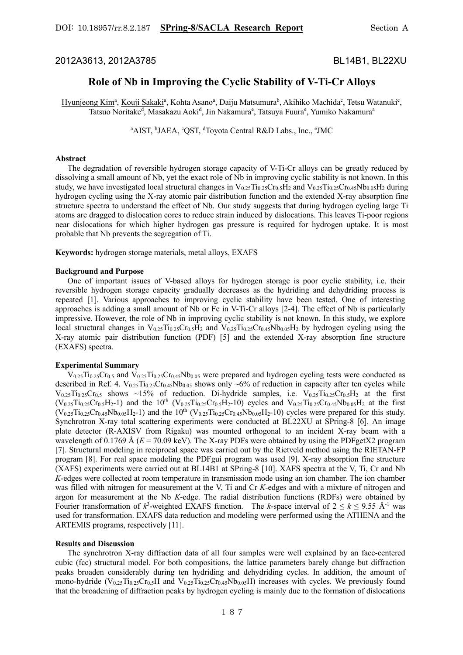2012A3613, 2012A3785 BL14B1, BL22XU

# **Role of Nb in Improving the Cyclic Stability of V-Ti-Cr Alloys**

Hyunjeong Kim<sup>a</sup>, Kouji Sakaki<sup>a</sup>, Kohta Asano<sup>a</sup>, Daiju Matsumura<sup>b</sup>, Akihiko Machida<sup>c</sup>, Tetsu Watanuki<sup>c</sup>, Tatsuo Noritake<sup>d</sup>, Masakazu Aoki<sup>d</sup>, Jin Nakamura<sup>e</sup>, Tatsuya Fuura<sup>e</sup>, Yumiko Nakamura<sup>a</sup>

<sup>a</sup>AIST, <sup>b</sup>JAEA, <sup>c</sup>QST, <sup>d</sup>Toyota Central R&D Labs., Inc., <sup>e</sup>JMC

#### **Abstract**

 The degradation of reversible hydrogen storage capacity of V-Ti-Cr alloys can be greatly reduced by dissolving a small amount of Nb, yet the exact role of Nb in improving cyclic stability is not known. In this study, we have investigated local structural changes in  $V_{0.25}Ti_{0.25}Cr_{0.5}H_2$  and  $V_{0.25}Ti_{0.25}Cr_{0.45}Nb_{0.05}H_2$  during hydrogen cycling using the X-ray atomic pair distribution function and the extended X-ray absorption fine structure spectra to understand the effect of Nb. Our study suggests that during hydrogen cycling large Ti atoms are dragged to dislocation cores to reduce strain induced by dislocations. This leaves Ti-poor regions near dislocations for which higher hydrogen gas pressure is required for hydrogen uptake. It is most probable that Nb prevents the segregation of Ti.

**Keywords:** hydrogen storage materials, metal alloys, EXAFS

### **Background and Purpose**

 One of important issues of V-based alloys for hydrogen storage is poor cyclic stability, i.e. their reversible hydrogen storage capacity gradually decreases as the hydriding and dehydriding process is repeated [1]. Various approaches to improving cyclic stability have been tested. One of interesting approaches is adding a small amount of Nb or Fe in V-Ti-Cr alloys [2-4]. The effect of Nb is particularly impressive. However, the role of Nb in improving cyclic stability is not known. In this study, we explore local structural changes in  $V_{0.25}Ti_{0.25}Cr_{0.5}H_2$  and  $V_{0.25}Ti_{0.25}Cr_{0.45}Nb_{0.05}H_2$  by hydrogen cycling using the X-ray atomic pair distribution function (PDF) [5] and the extended X-ray absorption fine structure (EXAFS) spectra.

#### **Experimental Summary**

 V0.25Ti0.25Cr0.5 and V0.25Ti0.25Cr0.45Nb0.05 were prepared and hydrogen cycling tests were conducted as described in Ref. 4.  $V_{0.25}T_{10.25}C_{10.45}Nb_{0.05}$  shows only ~6% of reduction in capacity after ten cycles while  $V_{0.25}Ti_{0.25}Cr_{0.5}$  shows ~15% of reduction. Di-hydride samples, i.e.  $V_{0.25}Ti_{0.25}Cr_{0.5}H_2$  at the first  $(V_{0.25}Ti_{0.25}Cr_{0.5}H_2-1)$  and the  $10^{th}$   $(V_{0.25}Ti_{0.25}Cr_{0.5}H_2-10)$  cycles and  $V_{0.25}Ti_{0.25}Cr_{0.45}Nb_{0.05}H_2$  at the first  $(V_{0.25}Ti_{0.25}Cr_{0.45}Nb_{0.05}H_2-1)$  and the  $10^{th} (V_{0.25}Ti_{0.25}Cr_{0.45}Nb_{0.05}H_2-10)$  cycles were prepared for this study. Synchrotron X-ray total scattering experiments were conducted at BL22XU at SPring-8 [6]. An image plate detector (R-AXISV from Rigaku) was mounted orthogonal to an incident X-ray beam with a wavelength of  $0.1769 \text{ Å } (E = 70.09 \text{ keV})$ . The X-ray PDFs were obtained by using the PDFgetX2 program [7]. Structural modeling in reciprocal space was carried out by the Rietveld method using the RIETAN-FP program [8]. For real space modeling the PDFgui program was used [9]. X-ray absorption fine structure (XAFS) experiments were carried out at BL14B1 at SPring-8 [10]. XAFS spectra at the V, Ti, Cr and Nb *K*-edges were collected at room temperature in transmission mode using an ion chamber. The ion chamber was filled with nitrogen for measurement at the V, Ti and Cr *K*-edges and with a mixture of nitrogen and argon for measurement at the Nb *K*-edge. The radial distribution functions (RDFs) were obtained by Fourier transformation of  $k^3$ -weighted EXAFS function. The *k*-space interval of  $2 \le k \le 9.55$  Å<sup>-1</sup> was used for transformation. EXAFS data reduction and modeling were performed using the ATHENA and the ARTEMIS programs, respectively [11].

## **Results and Discussion**

 The synchrotron X-ray diffraction data of all four samples were well explained by an face-centered cubic (fcc) structural model. For both compositions, the lattice parameters barely change but diffraction peaks broaden considerably during ten hydriding and dehydriding cycles. In addition, the amount of mono-hydride (V<sub>0.25</sub>Ti<sub>0.25</sub>Cr<sub>0.5</sub>H and V<sub>0.25</sub>Ti<sub>0.25</sub>Cr<sub>0.45</sub>Nb<sub>0.05</sub>H) increases with cycles. We previously found that the broadening of diffraction peaks by hydrogen cycling is mainly due to the formation of dislocations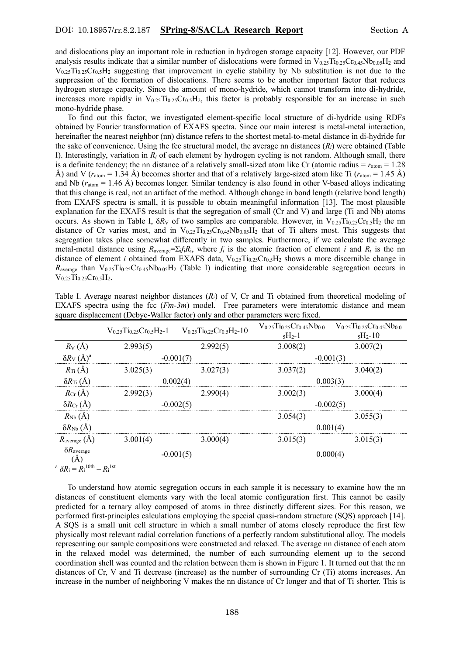and dislocations play an important role in reduction in hydrogen storage capacity [12]. However, our PDF analysis results indicate that a similar number of dislocations were formed in  $V_{0.25}Ti_{0.25}Cr_{0.45}Nb_{0.05}H_2$  and  $V_{0.25}T_{0.25}Cr_{0.5}H_2$  suggesting that improvement in cyclic stability by Nb substitution is not due to the suppression of the formation of dislocations. There seems to be another important factor that reduces hydrogen storage capacity. Since the amount of mono-hydride, which cannot transform into di-hydride, increases more rapidly in  $V_{0.25}Ti_{0.25}Cr_{0.5}H_2$ , this factor is probably responsible for an increase in such mono-hydride phase.

 To find out this factor, we investigated element-specific local structure of di-hydride using RDFs obtained by Fourier transformation of EXAFS spectra. Since our main interest is metal-metal interaction, hereinafter the nearest neighbor (nn) distance refers to the shortest metal-to-metal distance in di-hydride for the sake of convenience. Using the fcc structural model, the average nn distances (*Ri*) were obtained (Table I). Interestingly, variation in  $R_i$  of each element by hydrogen cycling is not random. Although small, there is a definite tendency; the nn distance of a relatively small-sized atom like Cr (atomic radius  $= r_{atom} = 1.28$ Å) and V ( $r_{\text{atom}} = 1.34$  Å) becomes shorter and that of a relatively large-sized atom like Ti ( $r_{\text{atom}} = 1.45$  Å) and Nb (*r*atom = 1.46 Å) becomes longer. Similar tendency is also found in other V-based alloys indicating that this change is real, not an artifact of the method. Although change in bond length (relative bond length) from EXAFS spectra is small, it is possible to obtain meaningful information [13]. The most plausible explanation for the EXAFS result is that the segregation of small (Cr and V) and large (Ti and Nb) atoms occurs. As shown in Table I, δ*R*<sub>V</sub> of two samples are comparable. However, in V<sub>0.25</sub>Ti<sub>0.25</sub>Cr<sub>0.5</sub>H<sub>2</sub> the nn distance of Cr varies most, and in  $V_{0.25}Ti_{0.25}Cr_{0.45}Nb_{0.05}H_2$  that of Ti alters most. This suggests that segregation takes place somewhat differently in two samples. Furthermore, if we calculate the average metal-metal distance using  $R_{\text{average}} = \sum_j f_i R_i$ , where  $f_i$  is the atomic fraction of element *i* and  $R_i$  is the nn distance of element *i* obtained from EXAFS data, V<sub>0.25</sub>Ti<sub>0.25</sub>Cr<sub>0.5</sub>H<sub>2</sub> shows a more discernible change in  $R_{\text{average}}$  than  $V_{0.25}Ti_{0.25}Cr_{0.45}Nb_{0.05}H_2$  (Table I) indicating that more considerable segregation occurs in  $V_{0.25}Ti_{0.25}Cr_{0.5}H_2$ .

| Table I. Average nearest neighbor distances $(R_i)$ of V, Cr and Ti obtained from theoretical modeling of |  |                                                                             |  |  |  |
|-----------------------------------------------------------------------------------------------------------|--|-----------------------------------------------------------------------------|--|--|--|
| EXAFS spectra using the fcc $(Fm-3m)$ model. Free parameters were interatomic distance and mean           |  |                                                                             |  |  |  |
| square displacement (Debye-Waller factor) only and other parameters were fixed.                           |  |                                                                             |  |  |  |
|                                                                                                           |  | $V_0$ 25 $Ti_0$ 25 $Cr_0$ 45 $Nb_0$ 0 $V_0$ 25 $Ti_0$ 25 $Cr_0$ 45 $Nb_0$ 0 |  |  |  |

|                                                                                              | $V_0$ 25 Tio 25 Cro 5 H2-1 | $V_0$ 25 $Ti_0$ 25 $Cr_0$ 5 $H_2$ -10 | $V_0$ 25 $Ti_0$ 25 $Cr_0$ 45 $Nb_0$ 0<br>$5H_2-1$ | $V_{0.25}Ti_{0.25}Cr_{0.45}Nb_{0.0}$<br>$5H_{2} - 10$ |  |
|----------------------------------------------------------------------------------------------|----------------------------|---------------------------------------|---------------------------------------------------|-------------------------------------------------------|--|
| $R_V(A)$                                                                                     | 2.993(5)                   | 2.992(5)                              | 3.008(2)                                          | 3.007(2)                                              |  |
| $\delta R_{\rm V}$ $(\rm \AA)^a$                                                             |                            | $-0.001(7)$                           |                                                   | $-0.001(3)$                                           |  |
| $R_{\text{Ti}}(\AA)$                                                                         | 3.025(3)                   | 3.027(3)                              | 3.037(2)                                          | 3.040(2)                                              |  |
| $\delta R_{\rm Ti}$ (Å)                                                                      |                            | 0.002(4)                              |                                                   | 0.003(3)                                              |  |
| $R_{Cr}(\AA)$                                                                                | 2.992(3)                   | 2.990(4)                              | 3.002(3)                                          | 3.000(4)                                              |  |
| $\delta R_{Cr}(\AA)$                                                                         |                            | $-0.002(5)$                           |                                                   | $-0.002(5)$                                           |  |
| $R_{Nb}(A)$                                                                                  |                            |                                       | 3.054(3)                                          | 3.055(3)                                              |  |
| $\delta R_{\rm Nb}$ (Å)                                                                      |                            |                                       |                                                   | 0.001(4)                                              |  |
| $R_{\text{average}}(\text{A})$                                                               | 3.001(4)                   | 3.000(4)                              | 3.015(3)                                          | 3.015(3)                                              |  |
| $\delta R_{\text{average}}$<br>(Å)                                                           |                            | $-0.001(5)$                           |                                                   | 0.000(4)                                              |  |
| <sup>a</sup> $\delta R_i = R_i \frac{\overline{10th}}{R_i} - R_i \frac{\overline{1st}}{R_i}$ |                            |                                       |                                                   |                                                       |  |

 To understand how atomic segregation occurs in each sample it is necessary to examine how the nn distances of constituent elements vary with the local atomic configuration first. This cannot be easily predicted for a ternary alloy composed of atoms in three distinctly different sizes. For this reason, we performed first-principles calculations employing the special quasi-random structure (SQS) approach [14]. A SQS is a small unit cell structure in which a small number of atoms closely reproduce the first few physically most relevant radial correlation functions of a perfectly random substitutional alloy. The models representing our sample compositions were constructed and relaxed. The average nn distance of each atom in the relaxed model was determined, the number of each surrounding element up to the second coordination shell was counted and the relation between them is shown in Figure 1. It turned out that the nn distances of Cr, V and Ti decrease (increase) as the number of surrounding Cr (Ti) atoms increases. An increase in the number of neighboring V makes the nn distance of Cr longer and that of Ti shorter. This is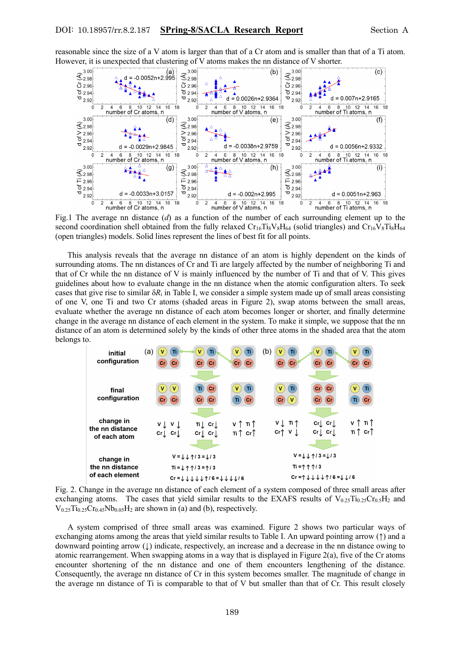reasonable since the size of a V atom is larger than that of a Cr atom and is smaller than that of a Ti atom. However, it is unexpected that clustering of V atoms makes the nn distance of V shorter.



Fig.1 The average nn distance (*d*) as a function of the number of each surrounding element up to the second coordination shell obtained from the fully relaxed  $Cr_{16}Ti_{8}V_{8}H_{64}$  (solid triangles) and  $Cr_{16}V_{8}Ti_{8}H_{64}$ (open triangles) models. Solid lines represent the lines of best fit for all points.

 This analysis reveals that the average nn distance of an atom is highly dependent on the kinds of surrounding atoms. The nn distances of Cr and Ti are largely affected by the number of neighboring Ti and that of Cr while the nn distance of V is mainly influenced by the number of Ti and that of V. This gives guidelines about how to evaluate change in the nn distance when the atomic configuration alters. To seek cases that give rise to similar  $\delta R_i$  in Table I, we consider a simple system made up of small areas consisting of one V, one Ti and two Cr atoms (shaded areas in Figure 2), swap atoms between the small areas, evaluate whether the average nn distance of each atom becomes longer or shorter, and finally determine change in the average nn distance of each element in the system. To make it simple, we suppose that the nn distance of an atom is determined solely by the kinds of other three atoms in the shaded area that the atom belongs to.



Fig. 2. Change in the average nn distance of each element of a system composed of three small areas after exchanging atoms. The cases that yield similar results to the EXAFS results of  $V_{0.25}T_{10.25}Cr_{0.5}H_2$  and  $V_{0.25}Ti_{0.25}Cr_{0.45}Nb_{0.05}H_2$  are shown in (a) and (b), respectively.

 A system comprised of three small areas was examined. Figure 2 shows two particular ways of exchanging atoms among the areas that yield similar results to Table I. An upward pointing arrow (↑) and a downward pointing arrow (↓) indicate, respectively, an increase and a decrease in the nn distance owing to atomic rearrangement. When swapping atoms in a way that is displayed in Figure 2(a), five of the Cr atoms encounter shortening of the nn distance and one of them encounters lengthening of the distance. Consequently, the average nn distance of Cr in this system becomes smaller. The magnitude of change in the average nn distance of Ti is comparable to that of V but smaller than that of Cr. This result closely